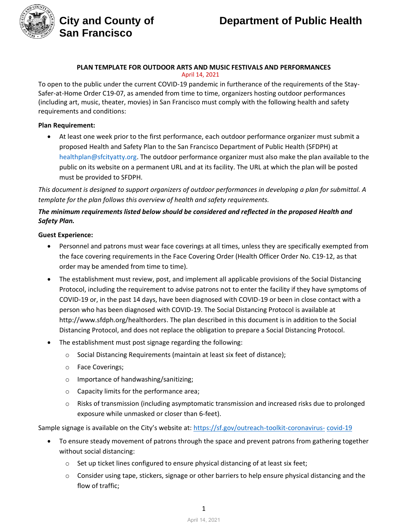

**San Francisco**

#### **PLAN TEMPLATE FOR OUTDOOR ARTS AND MUSIC FESTIVALS AND PERFORMANCES** April 14, 2021

To open to the public under the current COVID-19 pandemic in furtherance of the requirements of the Stay-Safer-at-Home Order C19-07, as amended from time to time, organizers hosting outdoor performances (including art, music, theater, movies) in San Francisco must comply with the following health and safety requirements and conditions:

#### **Plan Requirement:**

• At least one week prior to the first performance, each outdoor performance organizer must submit a proposed Health and Safety Plan to the San Francisco Department of Public Health (SFDPH) at [healthplan@sfcityatty.org. T](mailto:healthplan@sfcityatty.org)he outdoor performance organizer must also make the plan available to the public on its website on a permanent URL and at its facility. The URL at which the plan will be posted must be provided to SFDPH.

*This document is designed to support organizers of outdoor performances in developing a plan for submittal. A template for the plan follows this overview of health and safety requirements.* 

### *The minimum requirements listed below should be considered and reflected in the proposed Health and Safety Plan.*

#### **Guest Experience:**

- Personnel and patrons must wear face coverings at all times, unless they are specifically exempted from the face covering requirements in the Face Covering Order (Health Officer Order No. C19-12, as that order may be amended from time to time).
- The establishment must review, post, and implement all applicable provisions of the Social Distancing Protocol, including the requirement to advise patrons not to enter the facility if they have symptoms of COVID-19 or, in the past 14 days, have been diagnosed with COVID-19 or been in close contact with a person who has been diagnosed with COVID-19. The Social Distancing Protocol is available at [http://www.sfdph.org/healthorders. T](http://www.sfdph.org/healthorders)he plan described in this document is in addition to the Social Distancing Protocol, and does not replace the obligation to prepare a Social Distancing Protocol.
- The establishment must post signage regarding the following:
	- o Social Distancing Requirements (maintain at least six feet of distance);
	- o Face Coverings;
	- o Importance of handwashing/sanitizing;
	- o Capacity limits for the performance area;
	- $\circ$  Risks of transmission (including asymptomatic transmission and increased risks due to prolonged exposure while unmasked or closer than 6-feet).

Sample signage is available on the City's website at: https://sf.gov/outreach-toolkit-coronavirus- covid-19

- To ensure steady movement of patrons through the space and prevent patrons from gathering together without social distancing:
	- $\circ$  Set up ticket lines configured to ensure physical distancing of at least six feet;
	- o Consider using tape, stickers, signage or other barriers to help ensure physical distancing and the flow of traffic;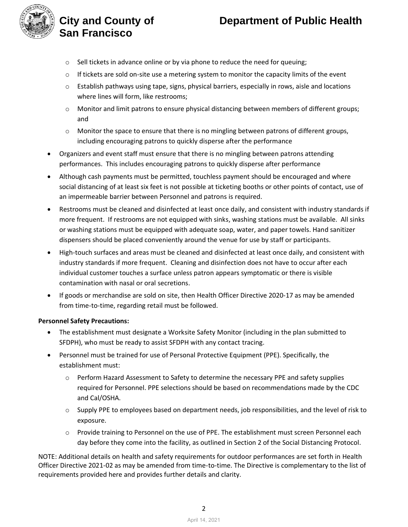# **City and County of Department of Public Health**



# **San Francisco**

- o Sell tickets in advance online or by via phone to reduce the need for queuing;
- $\circ$  If tickets are sold on-site use a metering system to monitor the capacity limits of the event
- o Establish pathways using tape, signs, physical barriers, especially in rows, aisle and locations where lines will form, like restrooms;
- o Monitor and limit patrons to ensure physical distancing between members of different groups; and
- $\circ$  Monitor the space to ensure that there is no mingling between patrons of different groups, including encouraging patrons to quickly disperse after the performance
- Organizers and event staff must ensure that there is no mingling between patrons attending performances. This includes encouraging patrons to quickly disperse after performance
- Although cash payments must be permitted, touchless payment should be encouraged and where social distancing of at least six feet is not possible at ticketing booths or other points of contact, use of an impermeable barrier between Personnel and patrons is required.
- Restrooms must be cleaned and disinfected at least once daily, and consistent with industry standards if more frequent. If restrooms are not equipped with sinks, washing stations must be available. All sinks or washing stations must be equipped with adequate soap, water, and paper towels. Hand sanitizer dispensers should be placed conveniently around the venue for use by staff or participants.
- High-touch surfaces and areas must be [cleaned and disinfected at least once daily, and consistent with](https://www.cdc.gov/coronavirus/2019-ncov/community/disinfecting-building-facility.html)  [industry standards if more frequent. Cleaning and disinfection does not have to occur after each](https://www.cdc.gov/coronavirus/2019-ncov/community/disinfecting-building-facility.html)  [individual customer touches a surface unless patron appears symptomatic or there is visible](https://www.cdc.gov/coronavirus/2019-ncov/community/disinfecting-building-facility.html)  [contamination with nasal or oral secretions.](https://www.cdc.gov/coronavirus/2019-ncov/community/disinfecting-building-facility.html)
- If goods or merchandise are sold on site, then [Health Officer Directive 2020-17](https://www.sfdph.org/dph/alerts/files/Directive-2020-17-Instore-Retail.pdf) as may be amended from time-to-time, regarding retail must be followed.

#### **Personnel Safety Precautions:**

- The establishment must designate a Worksite Safety Monitor (including in the plan submitted to SFDPH), who must be ready to assist SFDPH with any contact tracing.
- Personnel must be trained for use of Personal Protective Equipment (PPE). Specifically, the establishment must:
	- o Perform Hazard Assessment to Safety to determine the necessary PPE and safety supplies required for Personnel. PPE selections should be based on recommendations made by the CDC and Cal/OSHA.
	- $\circ$  Supply PPE to employees based on department needs, job responsibilities, and the level of risk to exposure.
	- o Provide training to Personnel on the use of PPE. The establishment must screen Personnel each day before they come into the facility, as outlined in Section 2 of the [Social Distancing Protocol.](https://www.sfdph.org/dph/alerts/files/C19-07i-Appendix-A.pdf)

NOTE: Additional details on health and safety requirements for outdoor performances are set forth in [Health](https://www.sfdph.org/dph/alerts/files/Directive-2020-32-Museums-Zoos-Aquariums.pdf)  [Officer Directive 2021-02](https://www.sfdph.org/dph/alerts/files/Directive-2020-32-Museums-Zoos-Aquariums.pdf) as may be amended from time-to-time. The Directive is complementary to the list of requirements provided here and provides further details and clarity.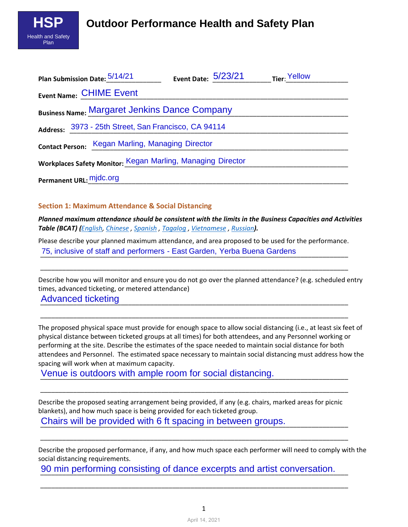

| Plan Submission Date: 5/14/21                               | Event Date: 5/23/21 | Tier: Yellow |  |  |  |  |  |  |  |
|-------------------------------------------------------------|---------------------|--------------|--|--|--|--|--|--|--|
| <b>Event Name: CHIME Event</b>                              |                     |              |  |  |  |  |  |  |  |
| <b>Business Name: Margaret Jenkins Dance Company</b>        |                     |              |  |  |  |  |  |  |  |
| Address: 3973 - 25th Street, San Francisco, CA 94114        |                     |              |  |  |  |  |  |  |  |
| <b>Contact Person: Kegan Marling, Managing Director</b>     |                     |              |  |  |  |  |  |  |  |
| Workplaces Safety Monitor: Kegan Marling, Managing Director |                     |              |  |  |  |  |  |  |  |
| Permanent URL: mjdc.org                                     |                     |              |  |  |  |  |  |  |  |

#### **Section 1: Maximum Attendance & Social Distancing**

*Planned maximum attendance should be consistent with the limits in the Business Capacities and Activities Table (BCAT) (English, Chinese , Spanish , Tagalog , Vietnamese , Russian).*

Please describe your planned maximum attendance, and area proposed to be used for the performance. 75, inclusive of staff and performers - East Garden, Yerba Buena Gardens

\_\_\_\_\_\_\_\_\_\_\_\_\_\_\_\_\_\_\_\_\_\_\_\_\_\_\_\_\_\_\_\_\_\_\_\_\_\_\_\_\_\_\_\_\_\_\_\_\_\_\_\_\_\_\_\_\_\_\_\_\_\_\_\_\_\_\_\_\_\_\_\_\_\_\_\_\_\_\_\_\_\_\_\_

\_\_\_\_\_\_\_\_\_\_\_\_\_\_\_\_\_\_\_\_\_\_\_\_\_\_\_\_\_\_\_\_\_\_\_\_\_\_\_\_\_\_\_\_\_\_\_\_\_\_\_\_\_\_\_\_\_\_\_\_\_\_\_\_\_\_\_\_\_\_\_\_\_\_\_\_\_\_\_\_\_\_\_\_

Describe how you will monitor and ensure you do not go over the planned attendance? (e.g. scheduled entry times, advanced ticketing, or metered attendance) \_\_\_\_\_\_\_\_\_\_\_\_\_\_\_\_\_\_\_\_\_\_\_\_\_\_\_\_\_\_\_\_\_\_\_\_\_\_\_\_\_\_\_\_\_\_\_\_\_\_\_\_\_\_\_\_\_\_\_\_\_\_\_\_\_\_\_\_\_\_\_\_\_\_\_\_\_\_\_\_\_\_\_\_ Advanced ticketing

The proposed physical space must provide for enough space to allow social distancing (i.e., at least six feet of physical distance between ticketed groups at all times) for both attendees, and any Personnel working or performing at the site. Describe the estimates of the space needed to maintain social distance for both attendees and Personnel. The estimated space necessary to maintain social distancing must address how the spacing will work when at maximum capacity.

Venue is outdoors with ample room for social distancing.

Describe the proposed seating arrangement being provided, if any (e.g. chairs, marked areas for picnic blankets), and how much space is being provided for each ticketed group. Chairs will be provided with 6 ft spacing in between groups.

\_\_\_\_\_\_\_\_\_\_\_\_\_\_\_\_\_\_\_\_\_\_\_\_\_\_\_\_\_\_\_\_\_\_\_\_\_\_\_\_\_\_\_\_\_\_\_\_\_\_\_\_\_\_\_\_\_\_\_\_\_\_\_\_\_\_\_\_\_\_\_\_\_\_\_\_\_\_\_\_\_\_\_\_

\_\_\_\_\_\_\_\_\_\_\_\_\_\_\_\_\_\_\_\_\_\_\_\_\_\_\_\_\_\_\_\_\_\_\_\_\_\_\_\_\_\_\_\_\_\_\_\_\_\_\_\_\_\_\_\_\_\_\_\_\_\_\_\_\_\_\_\_\_\_\_\_\_\_\_\_\_\_\_\_\_\_\_\_

Describe the proposed performance, if any, and how much space each performer will need to comply with the social distancing requirements.

90 min performing consisting of dance excerpts and artist conversation.

\_\_\_\_\_\_\_\_\_\_\_\_\_\_\_\_\_\_\_\_\_\_\_\_\_\_\_\_\_\_\_\_\_\_\_\_\_\_\_\_\_\_\_\_\_\_\_\_\_\_\_\_\_\_\_\_\_\_\_\_\_\_\_\_\_\_\_\_\_\_\_\_\_\_\_\_\_\_\_\_\_\_\_\_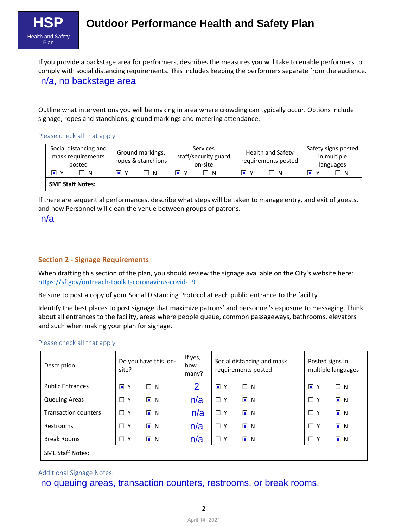

# **Outdoor Performance Health and Safety Plan**

If you provide a backstage area for performers, describes the measures you will take to enable performers to comply with social distancing requirements. This includes keeping the performers separate from the audience. n/a, no backstage area

Outline what interventions you will be making in area where crowding can typically occur. Options include signage, ropes and stanchions, ground markings and metering attendance.

\_\_\_\_\_\_\_\_\_\_\_\_\_\_\_\_\_\_\_\_\_\_\_\_\_\_\_\_\_\_\_\_\_\_\_\_\_\_\_\_\_\_\_\_\_\_\_\_\_\_\_\_\_\_\_\_\_\_\_\_\_\_\_\_\_\_\_\_\_\_\_\_\_\_\_\_\_\_\_\_\_\_\_\_

#### Please check all that apply

| Social distancing and<br>mask requirements<br>posted | Ground markings,<br>ropes & stanchions | <b>Services</b><br>staff/security guard<br>on-site | <b>Health and Safety</b><br>requirements posted | Safety signs posted<br>in multiple<br>languages |
|------------------------------------------------------|----------------------------------------|----------------------------------------------------|-------------------------------------------------|-------------------------------------------------|
| П<br>N                                               | ıш<br>$\mathbf v$<br>- N               | ⊓<br>- N                                           | H<br>- N                                        | o<br>- N                                        |
| <b>SME Staff Notes:</b>                              |                                        |                                                    |                                                 |                                                 |

If there are sequential performances, describe what steps will be taken to manage entry, and exit of guests, and how Personnel will clean the venue between groups of patrons.

\_\_\_\_\_\_\_\_\_\_\_\_\_\_\_\_\_\_\_\_\_\_\_\_\_\_\_\_\_\_\_\_\_\_\_\_\_\_\_\_\_\_\_\_\_\_\_\_\_\_\_\_\_\_\_\_\_\_\_\_\_\_\_\_\_\_\_\_\_\_\_\_\_\_\_\_\_\_\_\_\_\_\_\_ n/a

#### **Section 2 - Signage Requirements**

When drafting this section of the plan, you should review the signage available on the City's website here: <https://sf.gov/outreach-toolkit-coronavirus-covid-19>

\_\_\_\_\_\_\_\_\_\_\_\_\_\_\_\_\_\_\_\_\_\_\_\_\_\_\_\_\_\_\_\_\_\_\_\_\_\_\_\_\_\_\_\_\_\_\_\_\_\_\_\_\_\_\_\_\_\_\_\_\_\_\_\_\_\_\_\_\_\_\_\_\_\_\_\_\_\_\_\_\_\_\_\_

Be sure to post a copy of your Social Distancing Protocol at each public entrance to the facility

Identify the best places to post signage that maximize patrons' and personnel's exposure to messaging. Think about all entrances to the facility, areas where people queue, common passageways, bathrooms, elevators and such when making your plan for signage.

#### Please check all that apply

| Description                 | Do you have this on-<br>site? |                  | If yes,<br>how<br>many? | Social distancing and mask<br>requirements posted |                  | Posted signs in<br>multiple languages |                  |
|-----------------------------|-------------------------------|------------------|-------------------------|---------------------------------------------------|------------------|---------------------------------------|------------------|
| <b>Public Entrances</b>     | $\blacksquare$<br>Y           | $\Box$ N         | 2                       | $\blacksquare$<br>Y                               | $\Box$ N         | $\blacksquare$<br>Y                   | $\Box$ N         |
| <b>Queuing Areas</b>        | $\Box$ Y                      | $\blacksquare$ N | n/a                     | $\Box$ Y                                          | $\blacksquare$ N | $\Box$ Y                              | $\blacksquare$ N |
| <b>Transaction counters</b> | $\Box$ Y                      | $\blacksquare$ N | n/a                     | $\Box$ Y                                          | $\blacksquare$ N | $\Box$ Y                              | $\blacksquare$ N |
| Restrooms                   | $\Box$ Y                      | $\blacksquare$ N | n/a                     | $\Box$ Y                                          | $\Box$ N         | $\Box$ Y                              | $\Box$ N         |
| <b>Break Rooms</b>          | $\Box$ Y                      | $\blacksquare$ N | n/a                     | □<br>ΙY                                           | $\blacksquare$ N | $\Box$ Y                              | $\Box$ N         |
| <b>SME Staff Notes:</b>     |                               |                  |                         |                                                   |                  |                                       |                  |

#### Additional Signage Notes:

no queuing areas, transaction counters, restrooms, or break rooms.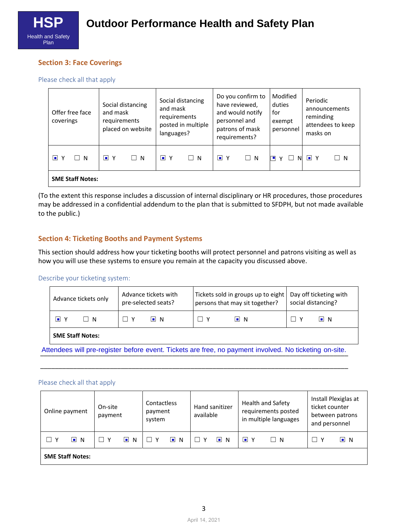

#### **Section 3: Face Coverings**

Please check all that apply

| Offer free face<br>coverings | Social distancing<br>and mask<br>requirements<br>placed on website | Social distancing<br>and mask<br>requirements<br>posted in multiple<br>languages? | Do you confirm to<br>have reviewed,<br>and would notify<br>personnel and<br>patrons of mask<br>requirements? | Modified<br>duties<br>for<br>exempt<br>personnel |                        |  |  |
|------------------------------|--------------------------------------------------------------------|-----------------------------------------------------------------------------------|--------------------------------------------------------------------------------------------------------------|--------------------------------------------------|------------------------|--|--|
| $\blacksquare$ Y<br>$\Box$ N | $\blacksquare$ Y<br>$\Box$ N                                       | $\blacksquare$ Y<br>$\Box$ N                                                      | $\blacksquare$ Y<br>$\Box$ N                                                                                 | N<br>$\checkmark$                                | $\blacksquare$ Y<br>-N |  |  |
| <b>SME Staff Notes:</b>      |                                                                    |                                                                                   |                                                                                                              |                                                  |                        |  |  |

(To the extent this response includes a discussion of internal disciplinary or HR procedures, those procedures may be addressed in a confidential addendum to the plan that is submitted to SFDPH, but not made available to the public.)

#### **Section 4: Ticketing Booths and Payment Systems**

This section should address how your ticketing booths will protect personnel and patrons visiting as well as how you will use these systems to ensure you remain at the capacity you discussed above.

#### Describe your ticketing system:

| Advance tickets only          | Advance tickets with<br>pre-selected seats? | Tickets sold in groups up to eight<br>persons that may sit together? | Day off ticketing with<br>social distancing? |  |
|-------------------------------|---------------------------------------------|----------------------------------------------------------------------|----------------------------------------------|--|
| n<br>$\overline{\phantom{a}}$ | I∎IN                                        | $\blacksquare$ N                                                     | I∎IN                                         |  |
| <b>SME Staff Notes:</b>       |                                             |                                                                      |                                              |  |

Attendees will pre-register before event. Tickets are free, no payment involved. No ticketing on-site.

\_\_\_\_\_\_\_\_\_\_\_\_\_\_\_\_\_\_\_\_\_\_\_\_\_\_\_\_\_\_\_\_\_\_\_\_\_\_\_\_\_\_\_\_\_\_\_\_\_\_\_\_\_\_\_\_\_\_\_\_\_\_\_\_\_\_\_\_\_\_\_\_\_\_\_\_\_\_\_\_\_\_\_\_

#### Please check all that apply

| Online payment               | On-site<br>payment    | Contactless<br>payment<br>system | Hand sanitizer<br>available | <b>Health and Safety</b><br>requirements posted<br>in multiple languages | Install Plexiglas at<br>ticket counter<br>between patrons<br>and personnel |  |  |
|------------------------------|-----------------------|----------------------------------|-----------------------------|--------------------------------------------------------------------------|----------------------------------------------------------------------------|--|--|
| $\blacksquare$ N<br><b>V</b> | $\blacksquare$<br>- N | $\blacksquare$<br>$\mathsf{N}$   | $\Box$ N<br>$\Box$ Y        | $\blacksquare$ Y<br>$\Box$ N                                             | $\Box$ Y<br>$\Box$ N                                                       |  |  |
| <b>SME Staff Notes:</b>      |                       |                                  |                             |                                                                          |                                                                            |  |  |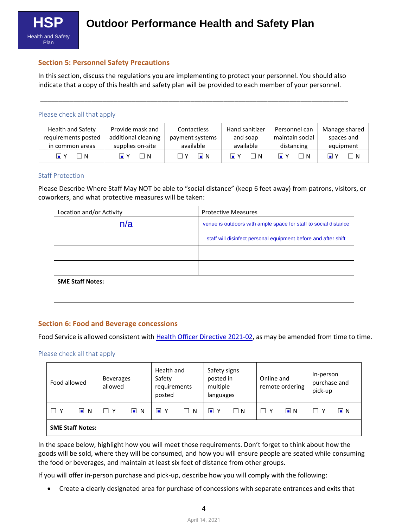

#### **Section 5: Personnel Safety Precautions**

In this section, discuss the regulations you are implementing to protect your personnel. You should also indicate that a copy of this health and safety plan will be provided to each member of your personnel.

\_\_\_\_\_\_\_\_\_\_\_\_\_\_\_\_\_\_\_\_\_\_\_\_\_\_\_\_\_\_\_\_\_\_\_\_\_\_\_\_\_\_\_\_\_\_\_\_\_\_\_\_\_\_\_\_\_\_\_\_\_\_\_\_\_\_\_\_\_\_\_\_\_\_\_\_\_\_\_\_\_\_\_\_

#### Please check all that apply

| Health and Safety   | Provide mask and         | Contactless      | Hand sanitizer               | Personnel can   | Manage shared          |
|---------------------|--------------------------|------------------|------------------------------|-----------------|------------------------|
| requirements posted | additional cleaning      | payment systems  | and soap                     | maintain social | spaces and             |
| in common areas     | supplies on-site         | available        | available                    | distancing      | equipment              |
| ⊡ Y<br>1 N          | וח ⊏<br>$\blacksquare$ Y | $\blacksquare$ N | $\blacksquare$ Y<br><b>N</b> | H<br>□N D       | $\overline{N}$<br>I∎IY |

#### Staff Protection

Please Describe Where Staff May NOT be able to "social distance" (keep 6 feet away) from patrons, visitors, or coworkers, and what protective measures will be taken:

| Location and/or Activity | <b>Protective Measures</b>                                      |
|--------------------------|-----------------------------------------------------------------|
| n/a                      | venue is outdoors with ample space for staff to social distance |
|                          | staff will disinfect personal equipment before and after shift  |
|                          |                                                                 |
|                          |                                                                 |
| <b>SME Staff Notes:</b>  |                                                                 |
|                          |                                                                 |

#### **Section 6: Food and Beverage concessions**

Food Service is allowed consistent with [Health Officer Directive 2021-0](https://www.sfdph.org/dph/alerts/files/Directive-2020-16-Dining.pdf)2, as may be amended from time to time.

#### Please check all that apply

| Food allowed                          | allowed  | Health and<br>Safety signs<br>Safety<br>posted in<br><b>Beverages</b><br>multiple<br>requirements<br>posted<br>languages |        |                        | Online and<br>remote ordering |          | In-person<br>purchase and<br>pick-up |                  |     |          |
|---------------------------------------|----------|--------------------------------------------------------------------------------------------------------------------------|--------|------------------------|-------------------------------|----------|--------------------------------------|------------------|-----|----------|
| $\blacksquare$<br>$\mathsf{N}$<br>⊃ ∨ | <b>V</b> | $\blacksquare$<br>$\overline{N}$                                                                                         | Y<br>▫ | $\vert \ \ \vert$<br>N | $\blacksquare$<br>٧           | $\Box$ N | П<br>—∨                              | $\blacksquare$ N | - V | $\Box$ N |
| <b>SME Staff Notes:</b>               |          |                                                                                                                          |        |                        |                               |          |                                      |                  |     |          |

In the space below, highlight how you will meet those requirements. Don't forget to think about how the goods will be sold, where they will be consumed, and how you will ensure people are seated while consuming the food or beverages, and maintain at least six feet of distance from other groups.

If you will offer in-person purchase and pick-up, describe how you will comply with the following:

• Create a clearly designated area for purchase of concessions with separate entrances and exits that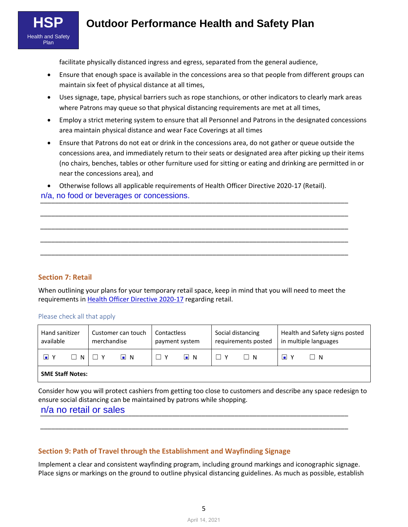

# **Outdoor Performance Health and Safety Plan**

facilitate physically distanced ingress and egress, separated from the general audience,

- Ensure that enough space is available in the concessions area so that people from different groups can maintain six feet of physical distance at all times,
- Uses signage, tape, physical barriers such as rope stanchions, or other indicators to clearly mark areas where Patrons may queue so that physical distancing requirements are met at all times,
- Employ a strict metering system to ensure that all Personnel and Patrons in the designated concessions area maintain physical distance and wear Face Coverings at all times
- Ensure that Patrons do not eat or drink in the concessions area, do not gather or queue outside the concessions area, and immediately return to their seats or designated area after picking up their items (no chairs, benches, tables or other furniture used for sitting or eating and drinking are permitted in or near the concessions area), and

• Otherwise follows all applicable requirements of Health Officer Directive 2020-17 (Retail).

\_\_\_\_\_\_\_\_\_\_\_\_\_\_\_\_\_\_\_\_\_\_\_\_\_\_\_\_\_\_\_\_\_\_\_\_\_\_\_\_\_\_\_\_\_\_\_\_\_\_\_\_\_\_\_\_\_\_\_\_\_\_\_\_\_\_\_\_\_\_\_\_\_\_\_\_\_\_\_\_\_\_\_\_ \_\_\_\_\_\_\_\_\_\_\_\_\_\_\_\_\_\_\_\_\_\_\_\_\_\_\_\_\_\_\_\_\_\_\_\_\_\_\_\_\_\_\_\_\_\_\_\_\_\_\_\_\_\_\_\_\_\_\_\_\_\_\_\_\_\_\_\_\_\_\_\_\_\_\_\_\_\_\_\_\_\_\_\_ \_\_\_\_\_\_\_\_\_\_\_\_\_\_\_\_\_\_\_\_\_\_\_\_\_\_\_\_\_\_\_\_\_\_\_\_\_\_\_\_\_\_\_\_\_\_\_\_\_\_\_\_\_\_\_\_\_\_\_\_\_\_\_\_\_\_\_\_\_\_\_\_\_\_\_\_\_\_\_\_\_\_\_\_ \_\_\_\_\_\_\_\_\_\_\_\_\_\_\_\_\_\_\_\_\_\_\_\_\_\_\_\_\_\_\_\_\_\_\_\_\_\_\_\_\_\_\_\_\_\_\_\_\_\_\_\_\_\_\_\_\_\_\_\_\_\_\_\_\_\_\_\_\_\_\_\_\_\_\_\_\_\_\_\_\_\_\_\_

# \_\_\_\_\_\_\_\_\_\_\_\_\_\_\_\_\_\_\_\_\_\_\_\_\_\_\_\_\_\_\_\_\_\_\_\_\_\_\_\_\_\_\_\_\_\_\_\_\_\_\_\_\_\_\_\_\_\_\_\_\_\_\_\_\_\_\_\_\_\_\_\_\_\_\_\_\_\_\_\_\_\_\_\_ n/a, no food or beverages or concessions.

**Section 7: Retail**

When outlining your plans for your temporary retail space, keep in mind that you will need to meet the requirements in [Health Officer Directive 2020-17](https://www.sfdph.org/dph/alerts/files/Directive-2020-17-Instore-Retail.pdf) regarding retail.

#### Please check all that apply

| Hand sanitizer<br>available                | Customer can touch<br>merchandise | <b>Contactless</b><br>payment system | Social distancing<br>requirements posted | Health and Safety signs posted<br>in multiple languages |
|--------------------------------------------|-----------------------------------|--------------------------------------|------------------------------------------|---------------------------------------------------------|
| $\blacksquare$<br>$\Box$ N<br>$\mathsf{v}$ | $\blacksquare$ N                  | n.<br>N.                             | $\Box$ N                                 | $\blacksquare$ Y<br>IN.                                 |
| <b>SME Staff Notes:</b>                    |                                   |                                      |                                          |                                                         |

Consider how you will protect cashiers from getting too close to customers and describe any space redesign to ensure social distancing can be maintained by patrons while shopping.

\_\_\_\_\_\_\_\_\_\_\_\_\_\_\_\_\_\_\_\_\_\_\_\_\_\_\_\_\_\_\_\_\_\_\_\_\_\_\_\_\_\_\_\_\_\_\_\_\_\_\_\_\_\_\_\_\_\_\_\_\_\_\_\_\_\_\_\_\_\_\_\_\_\_\_\_\_\_\_\_\_\_\_\_

## \_\_\_\_\_\_\_\_\_\_\_\_\_\_\_\_\_\_\_\_\_\_\_\_\_\_\_\_\_\_\_\_\_\_\_\_\_\_\_\_\_\_\_\_\_\_\_\_\_\_\_\_\_\_\_\_\_\_\_\_\_\_\_\_\_\_\_\_\_\_\_\_\_\_\_\_\_\_\_\_\_\_\_\_ n/a no retail or sales

#### **Section 9: Path of Travel through the Establishment and Wayfinding Signage**

Implement a clear and consistent wayfinding program, including ground markings and iconographic signage. Place signs or markings on the ground to outline physical distancing guidelines. As much as possible, establish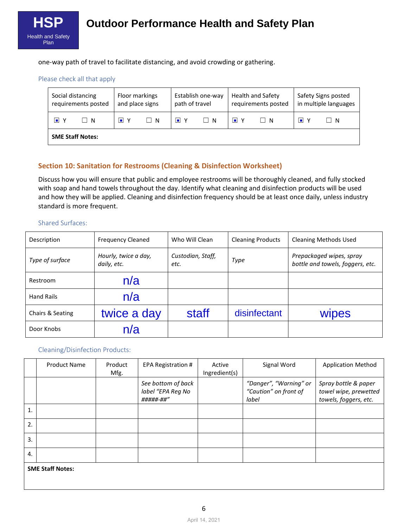

one-way path of travel to facilitate distancing, and avoid crowding or gathering.

#### Please check all that apply

|    | Social distancing<br>requirements posted | Floor markings<br>Establish one-way<br>and place signs<br>path of travel |                   | Health and Safety<br>requirements posted |    | Safety Signs posted<br>in multiple languages |                |    |      |
|----|------------------------------------------|--------------------------------------------------------------------------|-------------------|------------------------------------------|----|----------------------------------------------|----------------|----|------|
| l۰ | IN.                                      | - Y<br>шL                                                                | $\vert$ $\vert$ N | $\blacksquare$ Y                         | IN | l∎ Y                                         | $\mathsf{I}$ N | ıш | IIN. |
|    | <b>SME Staff Notes:</b>                  |                                                                          |                   |                                          |    |                                              |                |    |      |

### **Section 10: Sanitation for Restrooms (Cleaning & Disinfection Worksheet)**

Discuss how you will ensure that public and employee restrooms will be thoroughly cleaned, and fully stocked with soap and hand towels throughout the day. Identify what cleaning and disinfection products will be used and how they will be applied. Cleaning and disinfection frequency should be at least once daily, unless industry standard is more frequent.

#### Shared Surfaces:

| Description       | <b>Frequency Cleaned</b>            | Who Will Clean            | <b>Cleaning Products</b> | <b>Cleaning Methods Used</b>                                 |
|-------------------|-------------------------------------|---------------------------|--------------------------|--------------------------------------------------------------|
| Type of surface   | Hourly, twice a day,<br>daily, etc. | Custodian, Staff,<br>etc. | Type                     | Prepackaged wipes, spray<br>bottle and towels, foggers, etc. |
| Restroom          | n/a                                 |                           |                          |                                                              |
| <b>Hand Rails</b> | n/a                                 |                           |                          |                                                              |
| Chairs & Seating  | twice a day                         | staff                     | disinfectant             | <b>Wipes</b>                                                 |
| Door Knobs        | n/a                                 |                           |                          |                                                              |

#### Cleaning/Disinfection Products:

|                         | <b>Product Name</b> | Product<br>Mfg. | EPA Registration #                                   | Active<br>Ingredient(s) | Signal Word                                              | <b>Application Method</b>                                              |  |
|-------------------------|---------------------|-----------------|------------------------------------------------------|-------------------------|----------------------------------------------------------|------------------------------------------------------------------------|--|
|                         |                     |                 | See bottom of back<br>label "EPA Reg No<br>#####-##" |                         | "Danger", "Warning" or<br>"Caution" on front of<br>label | Spray bottle & paper<br>towel wipe, prewetted<br>towels, foggers, etc. |  |
| 1.                      |                     |                 |                                                      |                         |                                                          |                                                                        |  |
| 2.                      |                     |                 |                                                      |                         |                                                          |                                                                        |  |
| 3.                      |                     |                 |                                                      |                         |                                                          |                                                                        |  |
| 4.                      |                     |                 |                                                      |                         |                                                          |                                                                        |  |
| <b>SME Staff Notes:</b> |                     |                 |                                                      |                         |                                                          |                                                                        |  |
|                         |                     |                 |                                                      |                         |                                                          |                                                                        |  |